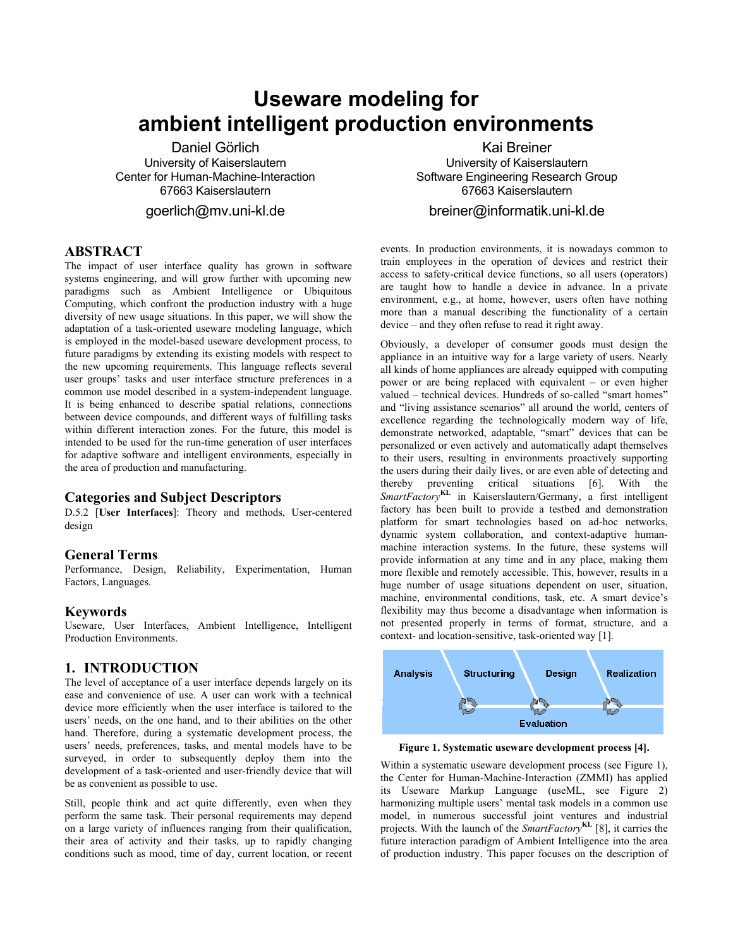# **Useware modeling for ambient intelligent production environments**

Daniel Görlich University of Kaiserslautern Center for Human-Machine-Interaction 67663 Kaiserslautern

goerlich@mv.uni-kl.de

# **ABSTRACT**

The impact of user interface quality has grown in software systems engineering, and will grow further with upcoming new paradigms such as Ambient Intelligence or Ubiquitous Computing, which confront the production industry with a huge diversity of new usage situations. In this paper, we will show the adaptation of a task-oriented useware modeling language, which is employed in the model-based useware development process, to future paradigms by extending its existing models with respect to the new upcoming requirements. This language reflects several user groups' tasks and user interface structure preferences in a common use model described in a system-independent language. It is being enhanced to describe spatial relations, connections between device compounds, and different ways of fulfilling tasks within different interaction zones. For the future, this model is intended to be used for the run-time generation of user interfaces for adaptive software and intelligent environments, especially in the area of production and manufacturing.

#### **Categories and Subject Descriptors**

D.5.2 [**User Interfaces**]: Theory and methods, User-centered design

#### **General Terms**

Performance, Design, Reliability, Experimentation, Human Factors, Languages.

#### **Keywords**

Useware, User Interfaces, Ambient Intelligence, Intelligent Production Environments.

### **1. INTRODUCTION**

The level of acceptance of a user interface depends largely on its ease and convenience of use. A user can work with a technical device more efficiently when the user interface is tailored to the users' needs, on the one hand, and to their abilities on the other hand. Therefore, during a systematic development process, the users' needs, preferences, tasks, and mental models have to be surveyed, in order to subsequently deploy them into the development of a task-oriented and user-friendly device that will be as convenient as possible to use.

<span id="page-0-0"></span>Still, people think and act quite differently, even when they perform the same task. Their personal requirements may depend on a large variety of influences ranging from their qualification, their area of activity and their tasks, up to rapidly changing conditions such as mood, time of day, current location, or recent

Kai Breiner University of Kaiserslautern Software Engineering Research Group 67663 Kaiserslautern

# breiner@informatik.uni-kl.de

events. In production environments, it is nowadays common to train employees in the operation of devices and restrict their access to safety-critical device functions, so all users (operators) are taught how to handle a device in advance. In a private environment, e.g., at home, however, users often have nothing more than a manual describing the functionality of a certain device – and they often refuse to read it right away.

Obviously, a developer of consumer goods must design the appliance in an intuitive way for a large variety of users. Nearly all kinds of home appliances are already equipped with computing power or are being replaced with equivalent – or even higher valued – technical devices. Hundreds of so-called "smart homes" and "living assistance scenarios" all around the world, centers of excellence regarding the technologically modern way of life, demonstrate networked, adaptable, "smart" devices that can be personalized or even actively and automatically adapt themselves to their users, resulting in environments proactively supporting the users during their daily lives, or are even able of detecting and thereby preventing critical situations [\[6\]](#page-3-0). With the *SmartFactory***KL** in Kaiserslautern/Germany, a first intelligent factory has been built to provide a testbed and demonstration platform for smart technologies based on ad-hoc networks, dynamic system collaboration, and context-adaptive humanmachine interaction systems. In the future, these systems will provide information at any time and in any place, making them more flexible and remotely accessible. This, however, results in a huge number of usage situations dependent on user, situation, machine, environmental conditions, task, etc. A smart device's flexibility may thus become a disadvantage when information is not presented properly in terms of format, structure, and a context- and location-sensitive, task-oriented way [\[1\].](#page-3-1)



**Figure 1. Systematic useware development process [\[4\]](#page-3-2).** 

Within a systematic useware development process (see [Figure 1\)](#page-0-0), the Center for Human-Machine-Interaction (ZMMI) has applied its Useware Markup Language (useML, see [Figure 2\)](#page-1-0) harmonizing multiple users' mental task models in a common use model, in numerous successful joint ventures and industrial projects. With the launch of the *SmartFactory***KL** [8], it carries the future interaction paradigm of Ambient Intelligence into the area of production industry. This paper focuses on the description of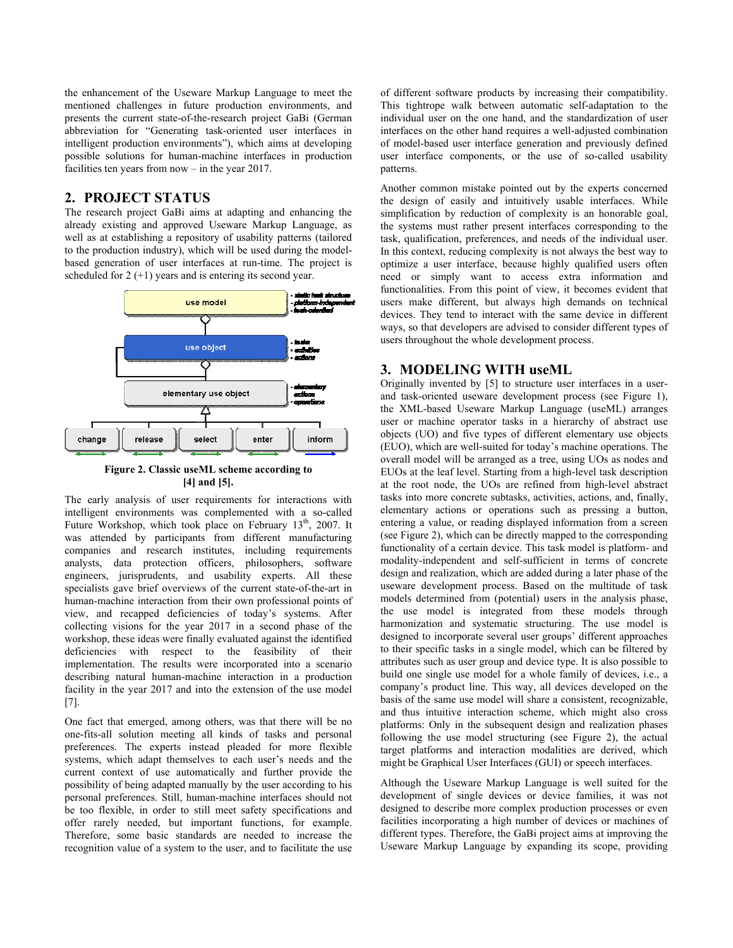the enhancement of the Useware Markup Language to meet the mentioned challenges in future production environments, and presents the current state-of-the-research project GaBi (German abbreviation for "Generating task-oriented user interfaces in intelligent production environments"), which aims at developing possible solutions for human-machine interfaces in production facilities ten years from now – in the year 2017.

# **2. PROJECT STATUS**

The research project GaBi aims at adapting and enhancing the already existing and approved Useware Markup Language, as well as at establishing a repository of usability patterns (tailored to the production industry), which will be used during the modelbased generation of user interfaces at run-time. The project is scheduled for  $2 (+1)$  years and is entering its second year.



**Figure 2. Classic useML scheme according to [\[4\]](#page-3-2) and [\[5\].](#page-3-3)** 

<span id="page-1-0"></span>The early analysis of user requirements for interactions with intelligent environments was complemented with a so-called Future Workshop, which took place on February 13<sup>th</sup>, 2007. It was attended by participants from different manufacturing companies and research institutes, including requirements analysts, data protection officers, philosophers, software engineers, jurisprudents, and usability experts. All these specialists gave brief overviews of the current state-of-the-art in human-machine interaction from their own professional points of view, and recapped deficiencies of today's systems. After collecting visions for the year 2017 in a second phase of the workshop, these ideas were finally evaluated against the identified deficiencies with respect to the feasibility of their implementation. The results were incorporated into a scenario describing natural human-machine interaction in a production facility in the year 2017 and into the extension of the use model [\[7\]](#page-3-4).

One fact that emerged, among others, was that there will be no one-fits-all solution meeting all kinds of tasks and personal preferences. The experts instead pleaded for more flexible systems, which adapt themselves to each user's needs and the current context of use automatically and further provide the possibility of being adapted manually by the user according to his personal preferences. Still, human-machine interfaces should not be too flexible, in order to still meet safety specifications and offer rarely needed, but important functions, for example. Therefore, some basic standards are needed to increase the recognition value of a system to the user, and to facilitate the use

of different software products by increasing their compatibility. This tightrope walk between automatic self-adaptation to the individual user on the one hand, and the standardization of user interfaces on the other hand requires a well-adjusted combination of model-based user interface generation and previously defined user interface components, or the use of so-called usability patterns.

Another common mistake pointed out by the experts concerned the design of easily and intuitively usable interfaces. While simplification by reduction of complexity is an honorable goal, the systems must rather present interfaces corresponding to the task, qualification, preferences, and needs of the individual user. In this context, reducing complexity is not always the best way to optimize a user interface, because highly qualified users often need or simply want to access extra information and functionalities. From this point of view, it becomes evident that users make different, but always high demands on technical devices. They tend to interact with the same device in different ways, so that developers are advised to consider different types of users throughout the whole development process.

# **3. MODELING WITH useML**

Originally invented by [\[5\]](#page-3-3) to structure user interfaces in a userand task-oriented useware development process (see [Figure 1\)](#page-0-0), the XML-based Useware Markup Language (useML) arranges user or machine operator tasks in a hierarchy of abstract use objects (UO) and five types of different elementary use objects (EUO), which are well-suited for today's machine operations. The overall model will be arranged as a tree, using UOs as nodes and EUOs at the leaf level. Starting from a high-level task description at the root node, the UOs are refined from high-level abstract tasks into more concrete subtasks, activities, actions, and, finally, elementary actions or operations such as pressing a button, entering a value, or reading displayed information from a screen (see [Figure 2](#page-1-0)), which can be directly mapped to the corresponding functionality of a certain device. This task model is platform- and modality-independent and self-sufficient in terms of concrete design and realization, which are added during a later phase of the useware development process. Based on the multitude of task models determined from (potential) users in the analysis phase, the use model is integrated from these models through harmonization and systematic structuring. The use model is designed to incorporate several user groups' different approaches to their specific tasks in a single model, which can be filtered by attributes such as user group and device type. It is also possible to build one single use model for a whole family of devices, i.e., a company's product line. This way, all devices developed on the basis of the same use model will share a consistent, recognizable, and thus intuitive interaction scheme, which might also cross platforms: Only in the subsequent design and realization phases following the use model structuring (see [Figure 2](#page-1-0)), the actual target platforms and interaction modalities are derived, which might be Graphical User Interfaces (GUI) or speech interfaces.

Although the Useware Markup Language is well suited for the development of single devices or device families, it was not designed to describe more complex production processes or even facilities incorporating a high number of devices or machines of different types. Therefore, the GaBi project aims at improving the Useware Markup Language by expanding its scope, providing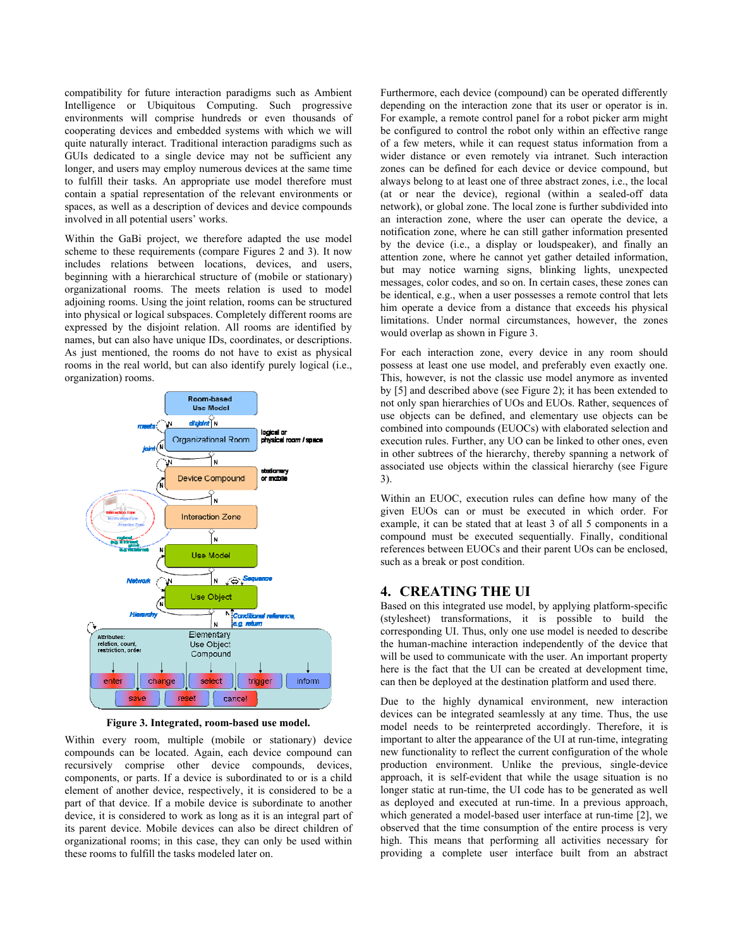compatibility for future interaction paradigms such as Ambient Intelligence or Ubiquitous Computing. Such progressive environments will comprise hundreds or even thousands of cooperating devices and embedded systems with which we will quite naturally interact. Traditional interaction paradigms such as GUIs dedicated to a single device may not be sufficient any longer, and users may employ numerous devices at the same time to fulfill their tasks. An appropriate use model therefore must contain a spatial representation of the relevant environments or spaces, as well as a description of devices and device compounds involved in all potential users' works.

Within the GaBi project, we therefore adapted the use model scheme to these requirements (compare Figures 2 and 3). It now includes relations between locations, devices, and users, beginning with a hierarchical structure of (mobile or stationary) organizational rooms. The meets relation is used to model adjoining rooms. Using the joint relation, rooms can be structured into physical or logical subspaces. Completely different rooms are expressed by the disjoint relation. All rooms are identified by names, but can also have unique IDs, coordinates, or descriptions. As just mentioned, the rooms do not have to exist as physical rooms in the real world, but can also identify purely logical (i.e., organization) rooms.



**Figure 3. Integrated, room-based use model.** 

Within every room, multiple (mobile or stationary) device compounds can be located. Again, each device compound can recursively comprise other device compounds, devices, components, or parts. If a device is subordinated to or is a child element of another device, respectively, it is considered to be a part of that device. If a mobile device is subordinate to another device, it is considered to work as long as it is an integral part of its parent device. Mobile devices can also be direct children of organizational rooms; in this case, they can only be used within these rooms to fulfill the tasks modeled later on.

Furthermore, each device (compound) can be operated differently depending on the interaction zone that its user or operator is in. For example, a remote control panel for a robot picker arm might be configured to control the robot only within an effective range of a few meters, while it can request status information from a wider distance or even remotely via intranet. Such interaction zones can be defined for each device or device compound, but always belong to at least one of three abstract zones, i.e., the local (at or near the device), regional (within a sealed-off data network), or global zone. The local zone is further subdivided into an interaction zone, where the user can operate the device, a notification zone, where he can still gather information presented by the device (i.e., a display or loudspeaker), and finally an attention zone, where he cannot yet gather detailed information, but may notice warning signs, blinking lights, unexpected messages, color codes, and so on. In certain cases, these zones can be identical, e.g., when a user possesses a remote control that lets him operate a device from a distance that exceeds his physical limitations. Under normal circumstances, however, the zones would overlap as shown in Figure 3.

For each interaction zone, every device in any room should possess at least one use model, and preferably even exactly one. This, however, is not the classic use model anymore as invented by [\[5\]](#page-3-3) and described above (see [Figure 2\)](#page-1-0); it has been extended to not only span hierarchies of UOs and EUOs. Rather, sequences of use objects can be defined, and elementary use objects can be combined into compounds (EUOCs) with elaborated selection and execution rules. Further, any UO can be linked to other ones, even in other subtrees of the hierarchy, thereby spanning a network of associated use objects within the classical hierarchy (see Figure 3).

Within an EUOC, execution rules can define how many of the given EUOs can or must be executed in which order. For example, it can be stated that at least 3 of all 5 components in a compound must be executed sequentially. Finally, conditional references between EUOCs and their parent UOs can be enclosed, such as a break or post condition.

# **4. CREATING THE UI**

Based on this integrated use model, by applying platform-specific (stylesheet) transformations, it is possible to build the corresponding UI. Thus, only one use model is needed to describe the human-machine interaction independently of the device that will be used to communicate with the user. An important property here is the fact that the UI can be created at development time, can then be deployed at the destination platform and used there.

Due to the highly dynamical environment, new interaction devices can be integrated seamlessly at any time. Thus, the use model needs to be reinterpreted accordingly. Therefore, it is important to alter the appearance of the UI at run-time, integrating new functionality to reflect the current configuration of the whole production environment. Unlike the previous, single-device approach, it is self-evident that while the usage situation is no longer static at run-time, the UI code has to be generated as well as deployed and executed at run-time. In a previous approach, which generated a model-based user interface at run-time [\[2\]](#page-3-5), we observed that the time consumption of the entire process is very high. This means that performing all activities necessary for providing a complete user interface built from an abstract